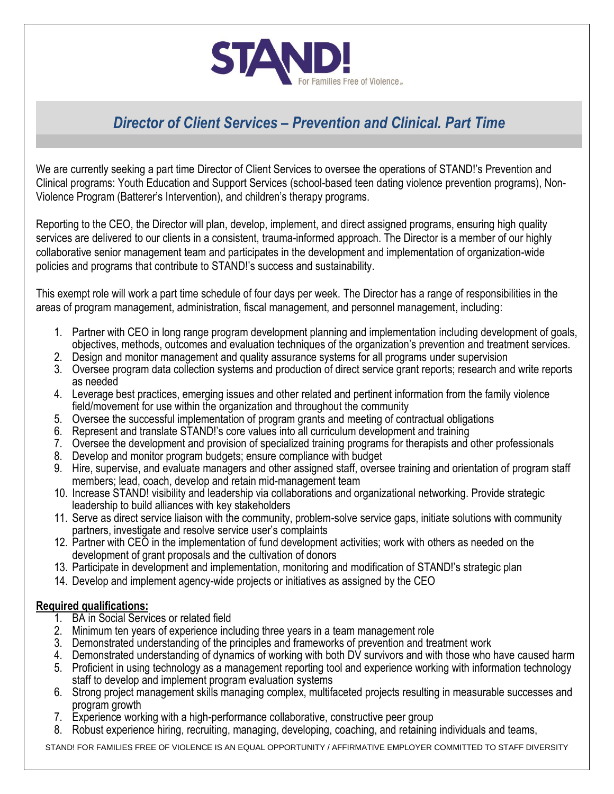

# *Director of Client Services – Prevention and Clinical. Part Time*

We are currently seeking a part time Director of Client Services to oversee the operations of STAND!'s Prevention and Clinical programs: Youth Education and Support Services (school-based teen dating violence prevention programs), Non-Violence Program (Batterer's Intervention), and children's therapy programs.

Reporting to the CEO, the Director will plan, develop, implement, and direct assigned programs, ensuring high quality services are delivered to our clients in a consistent, trauma-informed approach. The Director is a member of our highly collaborative senior management team and participates in the development and implementation of organization-wide policies and programs that contribute to STAND!'s success and sustainability.

This exempt role will work a part time schedule of four days per week. The Director has a range of responsibilities in the areas of program management, administration, fiscal management, and personnel management, including:

- 1. Partner with CEO in long range program development planning and implementation including development of goals, objectives, methods, outcomes and evaluation techniques of the organization's prevention and treatment services.
- 2. Design and monitor management and quality assurance systems for all programs under supervision
- 3. Oversee program data collection systems and production of direct service grant reports; research and write reports as needed
- 4. Leverage best practices, emerging issues and other related and pertinent information from the family violence field/movement for use within the organization and throughout the community
- 5. Oversee the successful implementation of program grants and meeting of contractual obligations
- 6. Represent and translate STAND!'s core values into all curriculum development and training
- 7. Oversee the development and provision of specialized training programs for therapists and other professionals
- 8. Develop and monitor program budgets; ensure compliance with budget
- 9. Hire, supervise, and evaluate managers and other assigned staff, oversee training and orientation of program staff members; lead, coach, develop and retain mid-management team
- 10. Increase STAND! visibility and leadership via collaborations and organizational networking. Provide strategic leadership to build alliances with key stakeholders
- 11. Serve as direct service liaison with the community, problem-solve service gaps, initiate solutions with community partners, investigate and resolve service user's complaints
- 12. Partner with CEO in the implementation of fund development activities; work with others as needed on the development of grant proposals and the cultivation of donors
- 13. Participate in development and implementation, monitoring and modification of STAND!'s strategic plan
- 14. Develop and implement agency-wide projects or initiatives as assigned by the CEO

#### **Required qualifications:**

- 1. BA in Social Services or related field
- 2. Minimum ten years of experience including three years in a team management role
- 3. Demonstrated understanding of the principles and frameworks of prevention and treatment work
- 4. Demonstrated understanding of dynamics of working with both DV survivors and with those who have caused harm
- 5. Proficient in using technology as a management reporting tool and experience working with information technology staff to develop and implement program evaluation systems
- 6. Strong project management skills managing complex, multifaceted projects resulting in measurable successes and program growth
- 7. Experience working with a high-performance collaborative, constructive peer group
- 8. Robust experience hiring, recruiting, managing, developing, coaching, and retaining individuals and teams,

STAND! FOR FAMILIES FREE OF VIOLENCE IS AN EQUAL OPPORTUNITY / AFFIRMATIVE EMPLOYER COMMITTED TO STAFF DIVERSITY